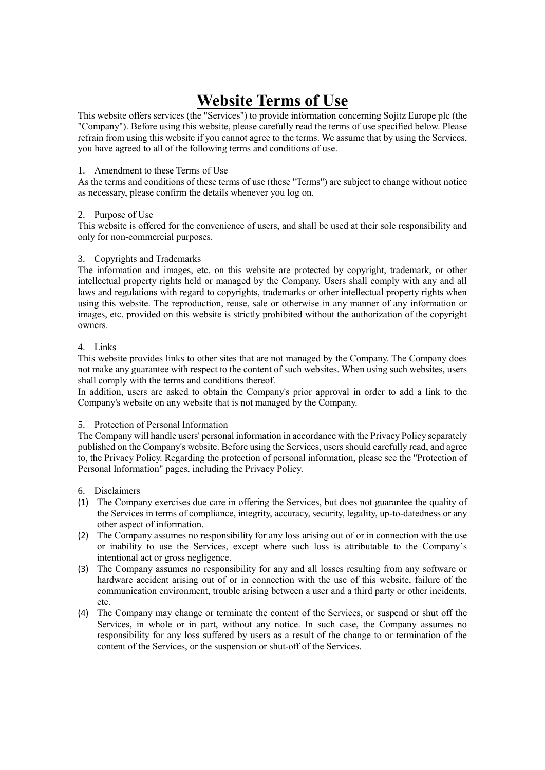# **Website Terms of Use**

This website offers services (the "Services") to provide information concerning Sojitz Europe plc (the "Company"). Before using this website, please carefully read the terms of use specified below. Please refrain from using this website if you cannot agree to the terms. We assume that by using the Services, you have agreed to all of the following terms and conditions of use.

## 1. Amendment to these Terms of Use

As the terms and conditions of these terms of use (these "Terms") are subject to change without notice as necessary, please confirm the details whenever you log on.

## 2. Purpose of Use

This website is offered for the convenience of users, and shall be used at their sole responsibility and only for non-commercial purposes.

## 3. Copyrights and Trademarks

The information and images, etc. on this website are protected by copyright, trademark, or other intellectual property rights held or managed by the Company. Users shall comply with any and all laws and regulations with regard to copyrights, trademarks or other intellectual property rights when using this website. The reproduction, reuse, sale or otherwise in any manner of any information or images, etc. provided on this website is strictly prohibited without the authorization of the copyright owners.

## 4. Links

This website provides links to other sites that are not managed by the Company. The Company does not make any guarantee with respect to the content of such websites. When using such websites, users shall comply with the terms and conditions thereof.

In addition, users are asked to obtain the Company's prior approval in order to add a link to the Company's website on any website that is not managed by the Company.

# 5. Protection of Personal Information

The Company will handle users' personal information in accordance with the Privacy Policy separately published on the Company's website. Before using the Services, users should carefully read, and agree to, the Privacy Policy. Regarding the protection of personal information, please see the "Protection of Personal Information" pages, including the Privacy Policy.

- 6. Disclaimers
- (1) The Company exercises due care in offering the Services, but does not guarantee the quality of the Services in terms of compliance, integrity, accuracy, security, legality, up-to-datedness or any other aspect of information.
- (2) The Company assumes no responsibility for any loss arising out of or in connection with the use or inability to use the Services, except where such loss is attributable to the Company's intentional act or gross negligence.
- (3) The Company assumes no responsibility for any and all losses resulting from any software or hardware accident arising out of or in connection with the use of this website, failure of the communication environment, trouble arising between a user and a third party or other incidents, etc.
- (4) The Company may change or terminate the content of the Services, or suspend or shut off the Services, in whole or in part, without any notice. In such case, the Company assumes no responsibility for any loss suffered by users as a result of the change to or termination of the content of the Services, or the suspension or shut-off of the Services.